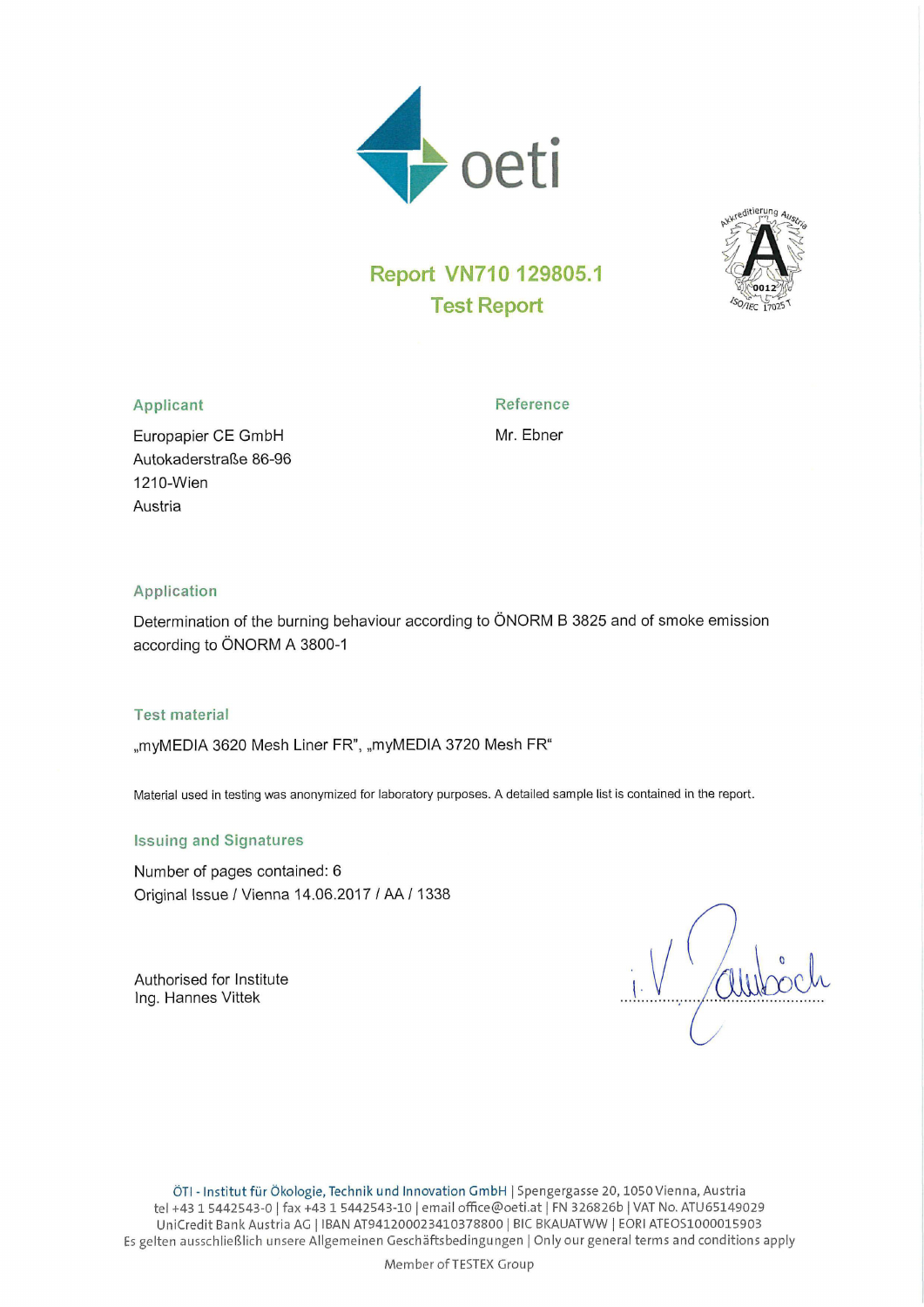



# Report VN710 129805.1 Test Report

### Applicant Reference

1210—Wien Austria

Autokaderstrafie 86-96

Europapier CE GmbH Mr. Ebner

#### Application

Determination of the burning behaviour according to ÖNORM B 3825 and of smoke emission according to ÖNORM A 3800-1

#### Test material

,,myMEDlA 3620 Mesh Liner FR", "myMEDlA 3720 Mesh FR"

Material used in testing was anonymized for laboratory purposes. A detailed sample list is contained in the report.

#### Issuing and Signatures

Number of pages contained: 6 Original Issue / Vienna 14.06.2017 I AA / 1338

Authorised for institute lng. Hannes Vittek

Member ofTESTEX Group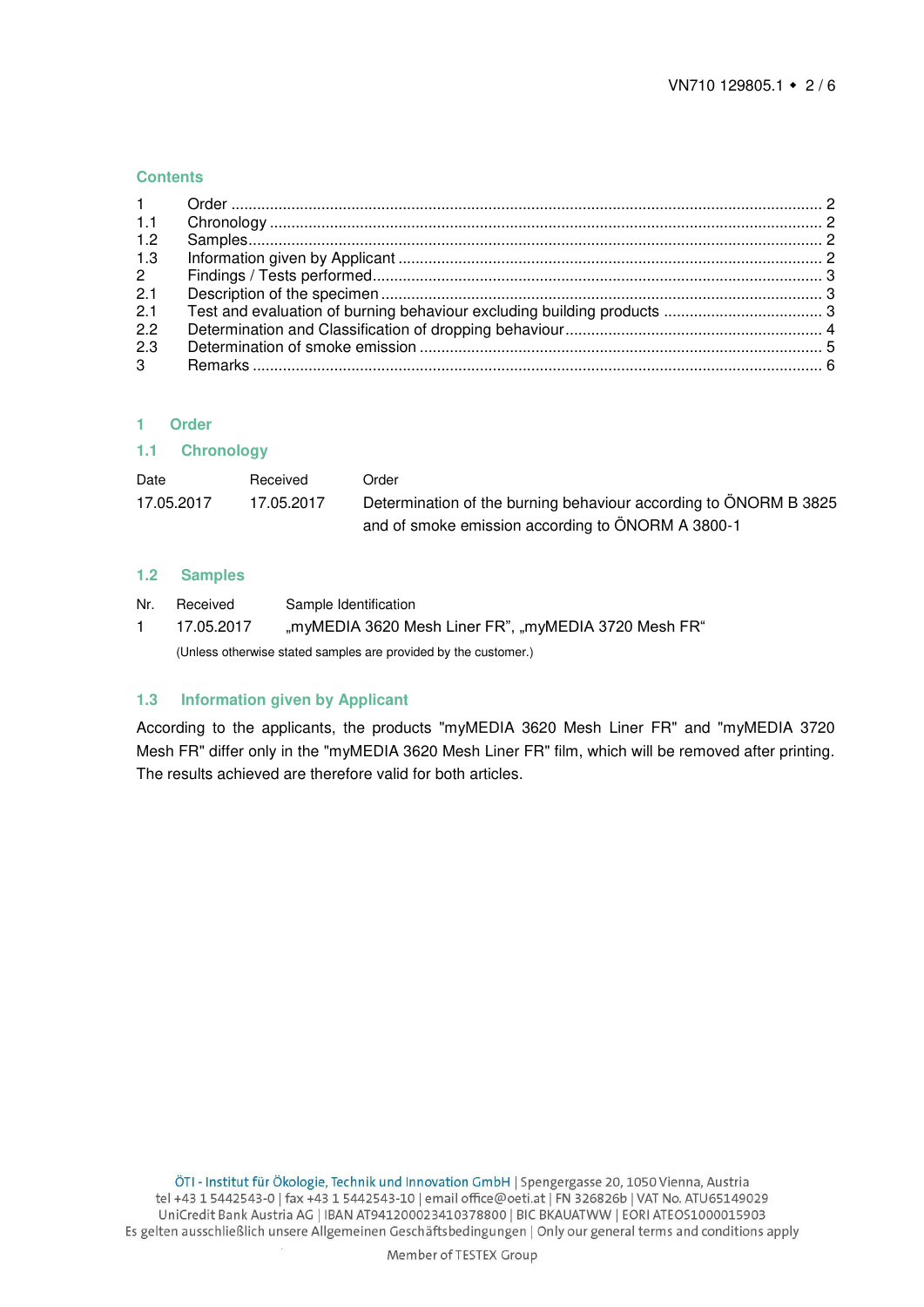#### **Contents**

| $1 -$       |  |
|-------------|--|
| 1.1         |  |
| 1.2         |  |
| 1.3         |  |
| $2^{\circ}$ |  |
| 2.1         |  |
| 2.1         |  |
| 2.2         |  |
| 2.3         |  |
| $3^{\circ}$ |  |

#### <span id="page-1-0"></span>**1 Order**

#### <span id="page-1-1"></span>**1.1 Chronology**

| Date       | Received   | .<br>Order                                                       |
|------------|------------|------------------------------------------------------------------|
| 17.05.2017 | 17.05.2017 | Determination of the burning behaviour according to ÖNORM B 3825 |
|            |            | and of smoke emission according to ÖNORM A 3800-1                |

#### <span id="page-1-2"></span>**1.2 Samples**

| Nr. | Received                                                        | Sample Identification                                |  |  |
|-----|-----------------------------------------------------------------|------------------------------------------------------|--|--|
|     | 17.05.2017                                                      | "myMEDIA 3620 Mesh Liner FR", "myMEDIA 3720 Mesh FR" |  |  |
|     | (Unless otherwise stated samples are provided by the customer.) |                                                      |  |  |

#### <span id="page-1-3"></span>**1.3 Information given by Applicant**

According to the applicants, the products "myMEDIA 3620 Mesh Liner FR" and "myMEDIA 3720 Mesh FR" differ only in the "myMEDIA 3620 Mesh Liner FR" film, which will be removed after printing. The results achieved are therefore valid for both articles.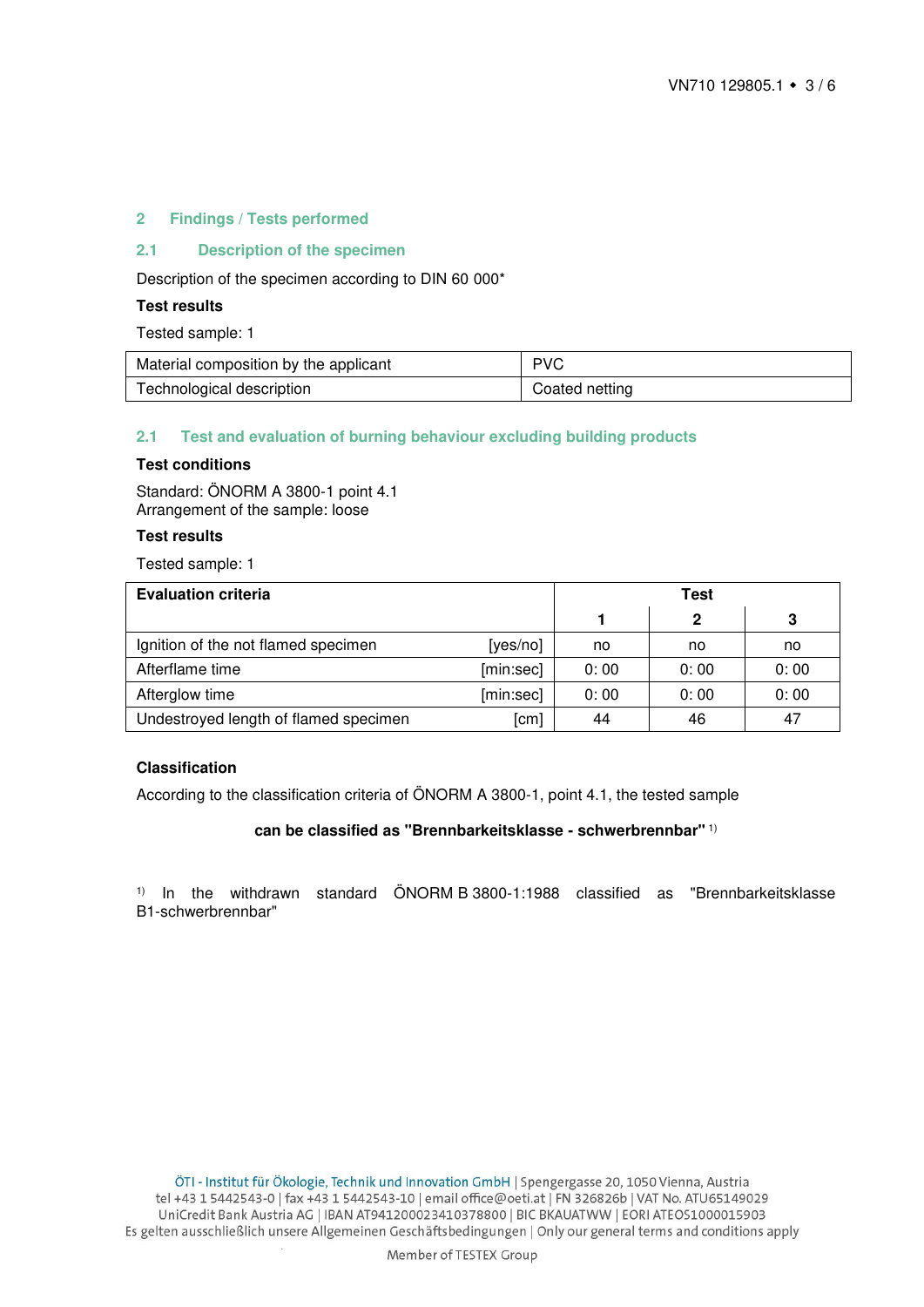#### <span id="page-2-0"></span>**2 Findings / Tests performed**

# <span id="page-2-1"></span>**2.1 Description of the specimen**

Description of the specimen according to DIN 60 000\*

#### **Test results**

Tested sample: 1

| Material composition by the applicant | <b>PVC</b>     |
|---------------------------------------|----------------|
| Technological description             | Coated netting |

#### <span id="page-2-2"></span>**2.1 Test and evaluation of burning behaviour excluding building products**

#### **Test conditions**

Standard: ÖNORM A 3800-1 point 4.1 Arrangement of the sample: loose

# **Test results**

Tested sample: 1

| <b>Evaluation criteria</b>            | Test      |      |      |      |
|---------------------------------------|-----------|------|------|------|
|                                       |           |      | 2    | 3    |
| Ignition of the not flamed specimen   | [yes/no]  | no   | no   | no   |
| Afterflame time                       | [min:sec] | 0:00 | 0:00 | 0:00 |
| Afterglow time                        | [min:sec] | 0:00 | 0:00 | 0:00 |
| Undestroyed length of flamed specimen | [cm]      | 44   | 46   | 47   |

#### **Classification**

According to the classification criteria of ÖNORM A 3800-1, point 4.1, the tested sample

#### **can be classified as "Brennbarkeitsklasse - schwerbrennbar"** 1)

1) In the withdrawn standard ÖNORM B 3800-1:1988 classified as "Brennbarkeitsklasse B1-schwerbrennbar"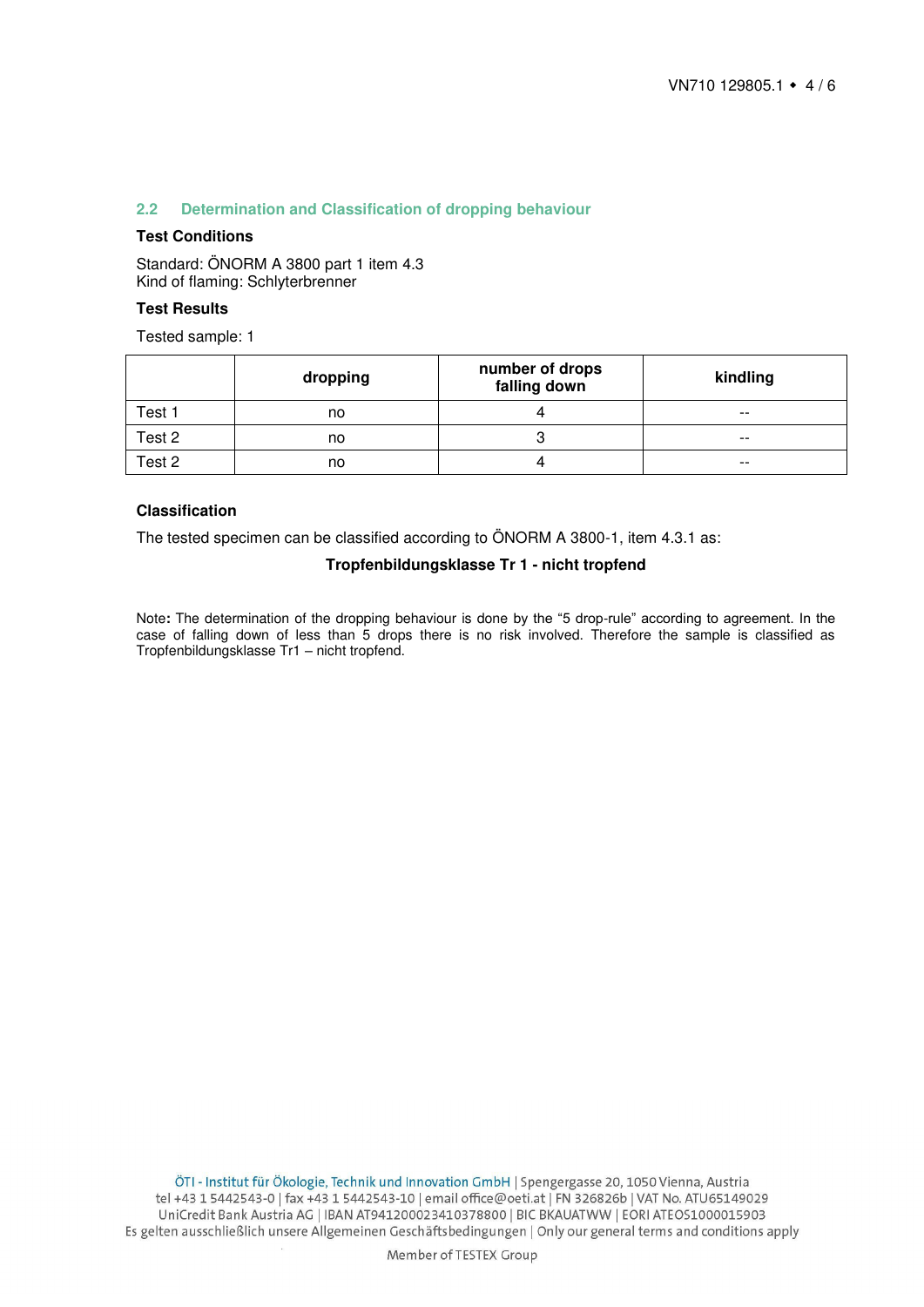# <span id="page-3-0"></span>**2.2 Determination and Classification of dropping behaviour**

# **Test Conditions**

Standard: ÖNORM A 3800 part 1 item 4.3 Kind of flaming: Schlyterbrenner

#### **Test Results**

Tested sample: 1

|        | dropping | number of drops<br>falling down | kindling |
|--------|----------|---------------------------------|----------|
| Test 1 | no       |                                 | $- -$    |
| Test 2 | no       |                                 | $- -$    |
| Test 2 | no       |                                 | $- -$    |

#### **Classification**

The tested specimen can be classified according to ÖNORM A 3800-1, item 4.3.1 as:

#### **Tropfenbildungsklasse Tr 1 - nicht tropfend**

Note**:** The determination of the dropping behaviour is done by the "5 drop-rule" according to agreement. In the case of falling down of less than 5 drops there is no risk involved. Therefore the sample is classified as Tropfenbildungsklasse Tr1 – nicht tropfend.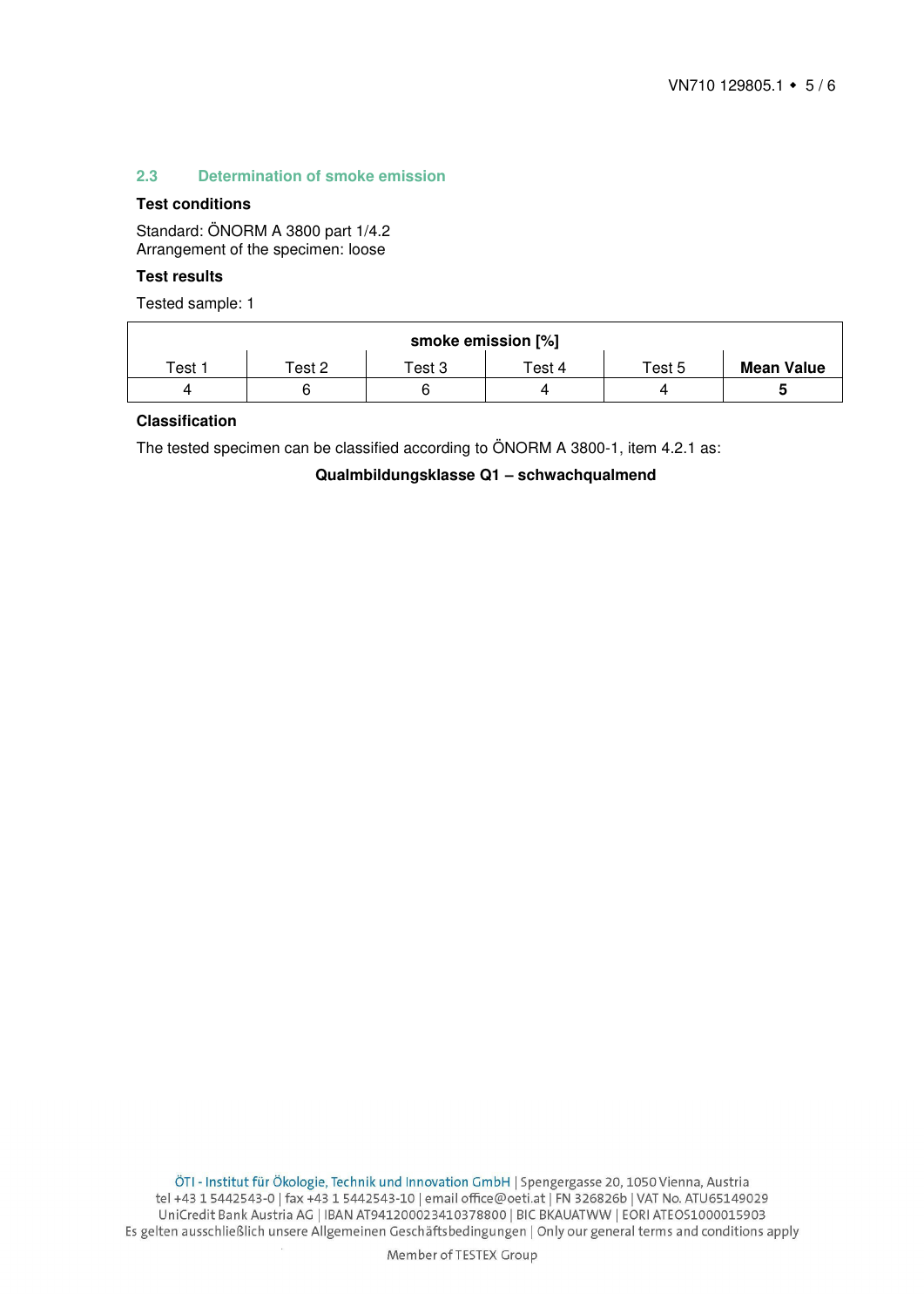#### <span id="page-4-0"></span>**2.3 Determination of smoke emission**

### **Test conditions**

Standard: ÖNORM A 3800 part 1/4.2 Arrangement of the specimen: loose

#### **Test results**

Tested sample: 1

| smoke emission [%] |                                 |        |              |        |                   |  |  |
|--------------------|---------------------------------|--------|--------------|--------|-------------------|--|--|
| Test 1             | $\mathsf{r}_{\mathsf{est}}$ 2 . | Test 3 | $\tau$ est 4 | Test 5 | <b>Mean Value</b> |  |  |
| 4                  |                                 | G      |              |        |                   |  |  |

# **Classification**

The tested specimen can be classified according to ÖNORM A 3800-1, item 4.2.1 as:

**Qualmbildungsklasse Q1 – schwachqualmend**